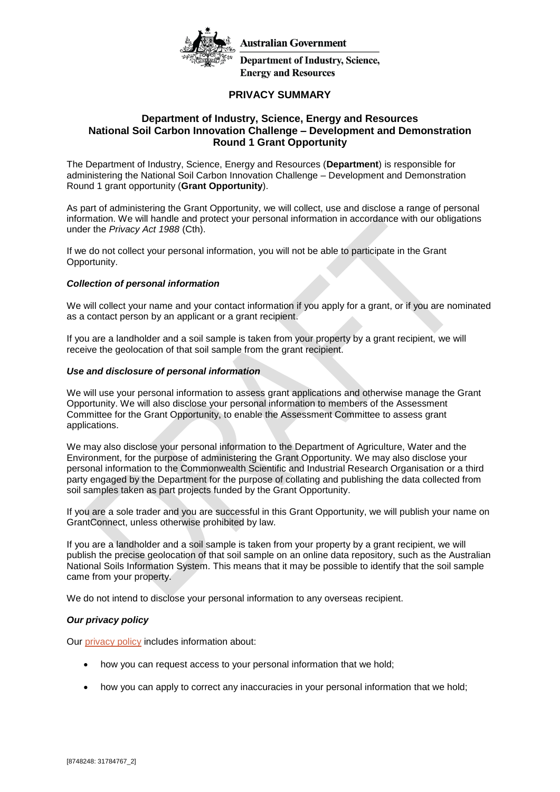

**Australian Government** 

**Department of Industry, Science, Energy and Resources** 

# **PRIVACY SUMMARY**

## **Department of Industry, Science, Energy and Resources National Soil Carbon Innovation Challenge – Development and Demonstration Round 1 Grant Opportunity**

The Department of Industry, Science, Energy and Resources (**Department**) is responsible for administering the National Soil Carbon Innovation Challenge – Development and Demonstration Round 1 grant opportunity (**Grant Opportunity**).

As part of administering the Grant Opportunity, we will collect, use and disclose a range of personal information. We will handle and protect your personal information in accordance with our obligations under the *Privacy Act 1988* (Cth).

If we do not collect your personal information, you will not be able to participate in the Grant Opportunity.

### *Collection of personal information*

We will collect your name and your contact information if you apply for a grant, or if you are nominated as a contact person by an applicant or a grant recipient.

If you are a landholder and a soil sample is taken from your property by a grant recipient, we will receive the geolocation of that soil sample from the grant recipient.

#### *Use and disclosure of personal information*

We will use your personal information to assess grant applications and otherwise manage the Grant Opportunity. We will also disclose your personal information to members of the Assessment Committee for the Grant Opportunity, to enable the Assessment Committee to assess grant applications.

We may also disclose your personal information to the Department of Agriculture, Water and the Environment, for the purpose of administering the Grant Opportunity. We may also disclose your personal information to the Commonwealth Scientific and Industrial Research Organisation or a third party engaged by the Department for the purpose of collating and publishing the data collected from soil samples taken as part projects funded by the Grant Opportunity.

If you are a sole trader and you are successful in this Grant Opportunity, we will publish your name on GrantConnect, unless otherwise prohibited by law.

If you are a landholder and a soil sample is taken from your property by a grant recipient, we will publish the precise geolocation of that soil sample on an online data repository, such as the Australian National Soils Information System. This means that it may be possible to identify that the soil sample came from your property.

We do not intend to disclose your personal information to any overseas recipient.

### *Our privacy policy*

Our [privacy policy](https://www.industry.gov.au/data-and-publications/privacy-policy.) includes information about:

- how you can request access to your personal information that we hold;
- how you can apply to correct any inaccuracies in your personal information that we hold;